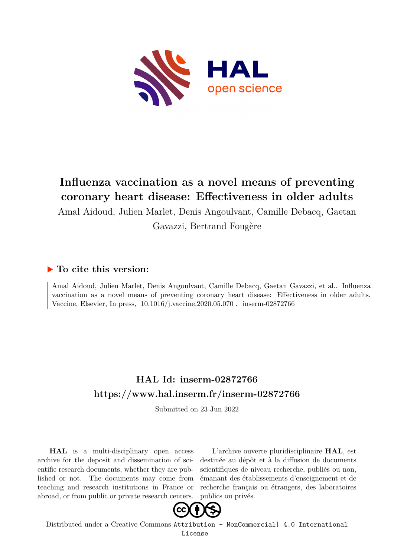

# **Influenza vaccination as a novel means of preventing coronary heart disease: Effectiveness in older adults**

Amal Aidoud, Julien Marlet, Denis Angoulvant, Camille Debacq, Gaetan

Gavazzi, Bertrand Fougère

# **To cite this version:**

Amal Aidoud, Julien Marlet, Denis Angoulvant, Camille Debacq, Gaetan Gavazzi, et al.. Influenza vaccination as a novel means of preventing coronary heart disease: Effectiveness in older adults. Vaccine, Elsevier, In press,  $10.1016/j.\text{vaccine}.2020.05.070$ . inserm-02872766

# **HAL Id: inserm-02872766 <https://www.hal.inserm.fr/inserm-02872766>**

Submitted on 23 Jun 2022

**HAL** is a multi-disciplinary open access archive for the deposit and dissemination of scientific research documents, whether they are published or not. The documents may come from teaching and research institutions in France or abroad, or from public or private research centers.

L'archive ouverte pluridisciplinaire **HAL**, est destinée au dépôt et à la diffusion de documents scientifiques de niveau recherche, publiés ou non, émanant des établissements d'enseignement et de recherche français ou étrangers, des laboratoires publics ou privés.



Distributed under a Creative Commons [Attribution - NonCommercial| 4.0 International](http://creativecommons.org/licenses/by-nc/4.0/) [License](http://creativecommons.org/licenses/by-nc/4.0/)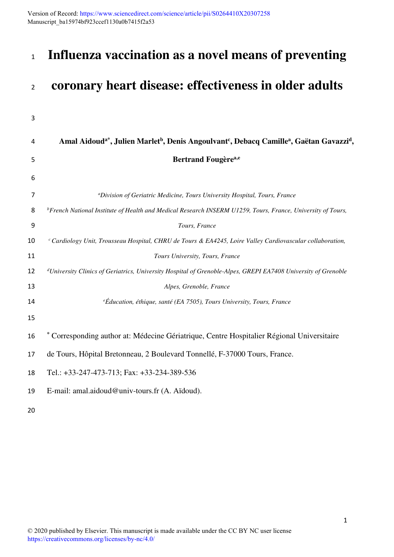Version of Record: <https://www.sciencedirect.com/science/article/pii/S0264410X20307258> Manuscript\_ba15974bf923ccef1130a0b7415f2a53

# **Influenza vaccination as a novel means of preventing**

# **coronary heart disease: effectiveness in older adults**

| 3  |                                                                                                                                                      |
|----|------------------------------------------------------------------------------------------------------------------------------------------------------|
| 4  | Amal Aidoud <sup>a*</sup> , Julien Marlet <sup>b</sup> , Denis Angoulvant <sup>c</sup> , Debacq Camille <sup>a</sup> , Gaëtan Gavazzi <sup>d</sup> , |
| 5  | <b>Bertrand Fougèrea,e</b>                                                                                                                           |
| 6  |                                                                                                                                                      |
| 7  | <sup>a</sup> Division of Geriatric Medicine, Tours University Hospital, Tours, France                                                                |
| 8  | $b$ French National Institute of Health and Medical Research INSERM U1259, Tours, France, University of Tours,                                       |
| 9  | Tours, France                                                                                                                                        |
| 10 | <sup>c</sup> Cardiology Unit, Trousseau Hospital, CHRU de Tours & EA4245, Loire Valley Cardiovascular collaboration,                                 |
| 11 | Tours University, Tours, France                                                                                                                      |
| 12 | <sup>d</sup> University Clinics of Geriatrics, University Hospital of Grenoble-Alpes, GREPI EA7408 University of Grenoble                            |
| 13 | Alpes, Grenoble, France                                                                                                                              |
| 14 | $e$ Éducation, éthique, santé (EA 7505), Tours University, Tours, France                                                                             |
| 15 |                                                                                                                                                      |
| 16 | * Corresponding author at: Médecine Gériatrique, Centre Hospitalier Régional Universitaire                                                           |
| 17 | de Tours, Hôpital Bretonneau, 2 Boulevard Tonnellé, F-37000 Tours, France.                                                                           |
| 18 | Tel.: +33-247-473-713; Fax: +33-234-389-536                                                                                                          |
| 19 | E-mail: amal.aidoud@univ-tours.fr (A. Aïdoud).                                                                                                       |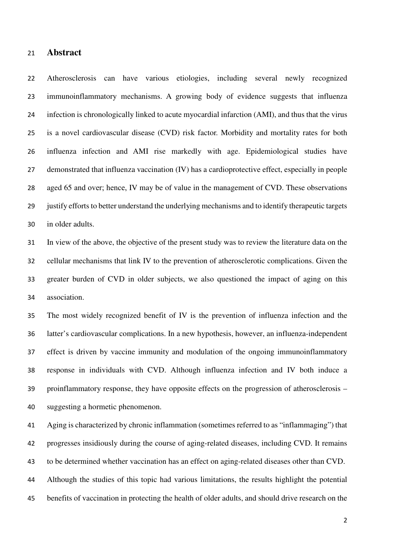### **Abstract**

Atherosclerosis can have various etiologies, including several newly recognized immunoinflammatory mechanisms. A growing body of evidence suggests that influenza infection is chronologically linked to acute myocardial infarction (AMI), and thus that the virus is a novel cardiovascular disease (CVD) risk factor. Morbidity and mortality rates for both influenza infection and AMI rise markedly with age. Epidemiological studies have demonstrated that influenza vaccination (IV) has a cardioprotective effect, especially in people aged 65 and over; hence, IV may be of value in the management of CVD. These observations justify efforts to better understand the underlying mechanisms and to identify therapeutic targets in older adults.

In view of the above, the objective of the present study was to review the literature data on the cellular mechanisms that link IV to the prevention of atherosclerotic complications. Given the greater burden of CVD in older subjects, we also questioned the impact of aging on this association.

The most widely recognized benefit of IV is the prevention of influenza infection and the latter's cardiovascular complications. In a new hypothesis, however, an influenza-independent effect is driven by vaccine immunity and modulation of the ongoing immunoinflammatory response in individuals with CVD. Although influenza infection and IV both induce a proinflammatory response, they have opposite effects on the progression of atherosclerosis – suggesting a hormetic phenomenon.

Aging is characterized by chronic inflammation (sometimes referred to as "inflammaging") that progresses insidiously during the course of aging-related diseases, including CVD. It remains to be determined whether vaccination has an effect on aging-related diseases other than CVD. Although the studies of this topic had various limitations, the results highlight the potential benefits of vaccination in protecting the health of older adults, and should drive research on the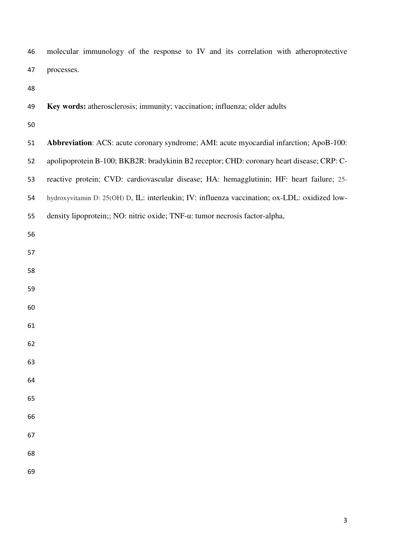molecular immunology of the response to IV and its correlation with atheroprotective processes.

| 49 | Key words: atherosclerosis; immunity; vaccination; influenza; older adults                    |
|----|-----------------------------------------------------------------------------------------------|
| 50 |                                                                                               |
| 51 | Abbreviation: ACS: acute coronary syndrome; AMI: acute myocardial infarction; ApoB-100:       |
| 52 | apolipoprotein B-100; BKB2R: bradykinin B2 receptor; CHD: coronary heart disease; CRP: C-     |
| 53 | reactive protein; CVD: cardiovascular disease; HA: hemagglutinin; HF: heart failure; 25-      |
| 54 | hydroxyvitamin D: 25(OH) D, IL: interleukin; IV: influenza vaccination; ox-LDL: oxidized low- |
| 55 | density lipoprotein;; NO: nitric oxide; TNF-a: tumor necrosis factor-alpha,                   |
| 56 |                                                                                               |
| 57 |                                                                                               |
| 58 |                                                                                               |
| 59 |                                                                                               |
| 60 |                                                                                               |
| 61 |                                                                                               |
| 62 |                                                                                               |
| 63 |                                                                                               |
| 64 |                                                                                               |
| 65 |                                                                                               |
| 66 |                                                                                               |
| 67 |                                                                                               |
| 68 |                                                                                               |
| 69 |                                                                                               |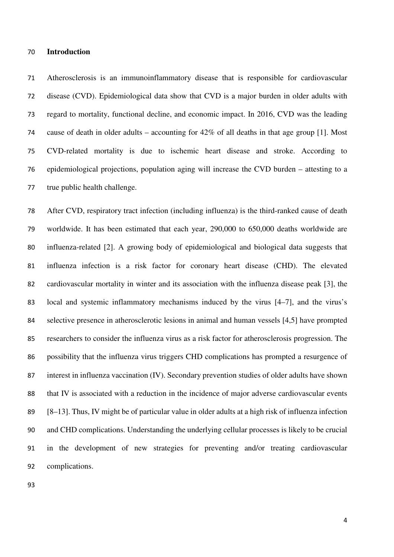#### **Introduction**

Atherosclerosis is an immunoinflammatory disease that is responsible for cardiovascular disease (CVD). Epidemiological data show that CVD is a major burden in older adults with regard to mortality, functional decline, and economic impact. In 2016, CVD was the leading cause of death in older adults – accounting for 42% of all deaths in that age group [1]. Most CVD-related mortality is due to ischemic heart disease and stroke. According to epidemiological projections, population aging will increase the CVD burden – attesting to a true public health challenge.

After CVD, respiratory tract infection (including influenza) is the third-ranked cause of death worldwide. It has been estimated that each year, 290,000 to 650,000 deaths worldwide are influenza-related [2]. A growing body of epidemiological and biological data suggests that influenza infection is a risk factor for coronary heart disease (CHD). The elevated cardiovascular mortality in winter and its association with the influenza disease peak [3], the local and systemic inflammatory mechanisms induced by the virus [4–7], and the virus's selective presence in atherosclerotic lesions in animal and human vessels [4,5] have prompted researchers to consider the influenza virus as a risk factor for atherosclerosis progression. The possibility that the influenza virus triggers CHD complications has prompted a resurgence of interest in influenza vaccination (IV). Secondary prevention studies of older adults have shown that IV is associated with a reduction in the incidence of major adverse cardiovascular events [8–13]. Thus, IV might be of particular value in older adults at a high risk of influenza infection and CHD complications. Understanding the underlying cellular processes is likely to be crucial in the development of new strategies for preventing and/or treating cardiovascular complications.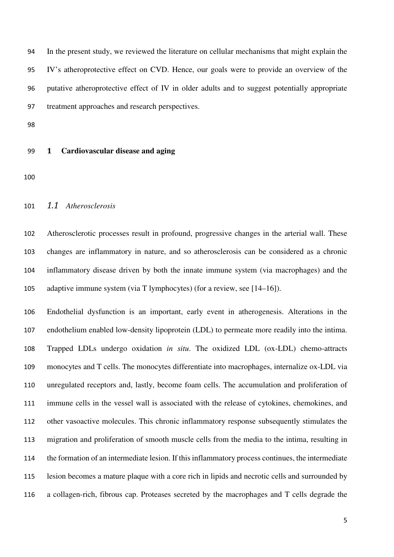In the present study, we reviewed the literature on cellular mechanisms that might explain the IV's atheroprotective effect on CVD. Hence, our goals were to provide an overview of the putative atheroprotective effect of IV in older adults and to suggest potentially appropriate treatment approaches and research perspectives.

# **1 Cardiovascular disease and aging**

#### *1.1 Atherosclerosis*

Atherosclerotic processes result in profound, progressive changes in the arterial wall. These changes are inflammatory in nature, and so atherosclerosis can be considered as a chronic inflammatory disease driven by both the innate immune system (via macrophages) and the adaptive immune system (via T lymphocytes) (for a review, see [14–16]).

Endothelial dysfunction is an important, early event in atherogenesis. Alterations in the endothelium enabled low-density lipoprotein (LDL) to permeate more readily into the intima. Trapped LDLs undergo oxidation *in situ*. The oxidized LDL (ox-LDL) chemo-attracts monocytes and T cells. The monocytes differentiate into macrophages, internalize ox-LDL via unregulated receptors and, lastly, become foam cells. The accumulation and proliferation of immune cells in the vessel wall is associated with the release of cytokines, chemokines, and other vasoactive molecules. This chronic inflammatory response subsequently stimulates the migration and proliferation of smooth muscle cells from the media to the intima, resulting in the formation of an intermediate lesion. If this inflammatory process continues, the intermediate lesion becomes a mature plaque with a core rich in lipids and necrotic cells and surrounded by a collagen-rich, fibrous cap. Proteases secreted by the macrophages and T cells degrade the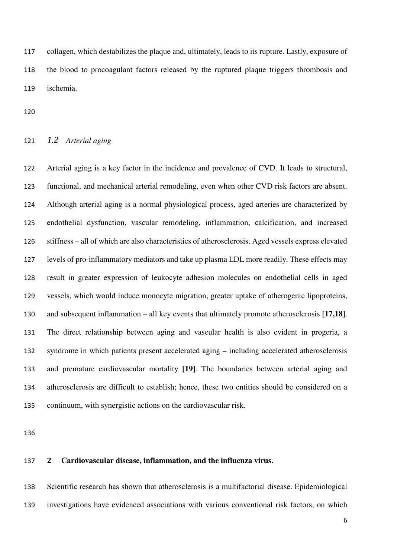collagen, which destabilizes the plaque and, ultimately, leads to its rupture. Lastly, exposure of the blood to procoagulant factors released by the ruptured plaque triggers thrombosis and ischemia.

# *1.2 Arterial aging*

Arterial aging is a key factor in the incidence and prevalence of CVD. It leads to structural, functional, and mechanical arterial remodeling, even when other CVD risk factors are absent. Although arterial aging is a normal physiological process, aged arteries are characterized by endothelial dysfunction, vascular remodeling, inflammation, calcification, and increased stiffness – all of which are also characteristics of atherosclerosis. Aged vessels express elevated levels of pro-inflammatory mediators and take up plasma LDL more readily. These effects may result in greater expression of leukocyte adhesion molecules on endothelial cells in aged vessels, which would induce monocyte migration, greater uptake of atherogenic lipoproteins, and subsequent inflammation – all key events that ultimately promote atherosclerosis **[17,18]**. The direct relationship between aging and vascular health is also evident in progeria, a syndrome in which patients present accelerated aging – including accelerated atherosclerosis and premature cardiovascular mortality **[19]**. The boundaries between arterial aging and atherosclerosis are difficult to establish; hence, these two entities should be considered on a continuum, with synergistic actions on the cardiovascular risk.

# **2 Cardiovascular disease, inflammation, and the influenza virus.**

Scientific research has shown that atherosclerosis is a multifactorial disease. Epidemiological investigations have evidenced associations with various conventional risk factors, on which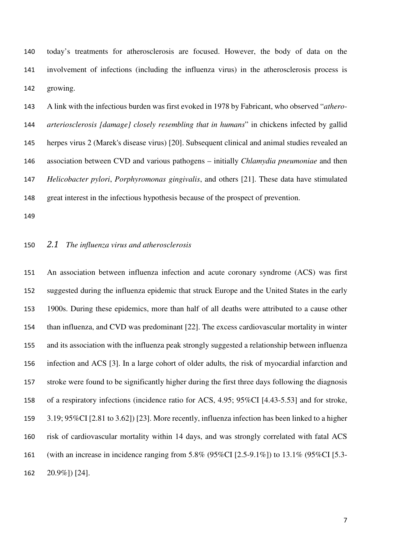today's treatments for atherosclerosis are focused. However, the body of data on the involvement of infections (including the influenza virus) in the atherosclerosis process is growing.

A link with the infectious burden was first evoked in 1978 by Fabricant, who observed "*athero-arteriosclerosis [damage] closely resembling that in humans*" in chickens infected by gallid herpes virus 2 (Marek's disease virus) [20]. Subsequent clinical and animal studies revealed an association between CVD and various pathogens – initially *Chlamydia pneumoniae* and then *Helicobacter pylori*, *Porphyromonas gingivalis*, and others [21]. These data have stimulated great interest in the infectious hypothesis because of the prospect of prevention.

## *2.1 The influenza virus and atherosclerosis*

An association between influenza infection and acute coronary syndrome (ACS) was first suggested during the influenza epidemic that struck Europe and the United States in the early 1900s. During these epidemics, more than half of all deaths were attributed to a cause other than influenza, and CVD was predominant [22]. The excess cardiovascular mortality in winter and its association with the influenza peak strongly suggested a relationship between influenza infection and ACS [3]. In a large cohort of older adults*,* the risk of myocardial infarction and stroke were found to be significantly higher during the first three days following the diagnosis of a respiratory infections (incidence ratio for ACS, 4.95; 95%CI [4.43-5.53] and for stroke, 3.19; 95%CI [2.81 to 3.62]) [23]. More recently, influenza infection has been linked to a higher risk of cardiovascular mortality within 14 days, and was strongly correlated with fatal ACS (with an increase in incidence ranging from 5.8% (95%CI [2.5-9.1%]) to 13.1% (95%CI [5.3- 20.9%]) [24].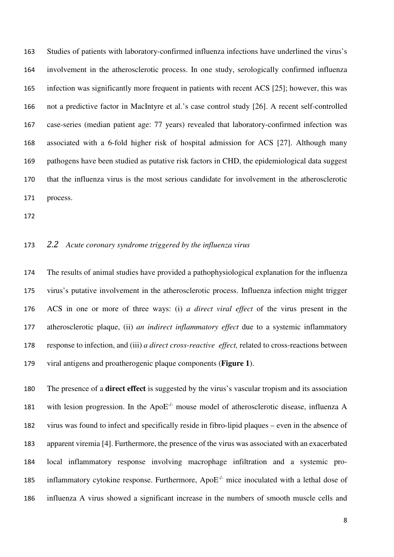Studies of patients with laboratory-confirmed influenza infections have underlined the virus's involvement in the atherosclerotic process. In one study, serologically confirmed influenza infection was significantly more frequent in patients with recent ACS [25]; however, this was not a predictive factor in MacIntyre et al.'s case control study [26]. A recent self-controlled case-series (median patient age: 77 years) revealed that laboratory-confirmed infection was associated with a 6-fold higher risk of hospital admission for ACS [27]. Although many pathogens have been studied as putative risk factors in CHD, the epidemiological data suggest that the influenza virus is the most serious candidate for involvement in the atherosclerotic process.

## *2.2 Acute coronary syndrome triggered by the influenza virus*

The results of animal studies have provided a pathophysiological explanation for the influenza virus's putative involvement in the atherosclerotic process. Influenza infection might trigger ACS in one or more of three ways: (i) *a direct viral effect* of the virus present in the atherosclerotic plaque, (ii) *an indirect inflammatory effect* due to a systemic inflammatory response to infection, and (iii) *a direct cross-reactive effect,* related to cross-reactions between viral antigens and proatherogenic plaque components (**Figure 1**).

The presence of a **direct effect** is suggested by the virus's vascular tropism and its association 181 with lesion progression. In the  $ApoE^{-/-}$  mouse model of atherosclerotic disease, influenza A virus was found to infect and specifically reside in fibro-lipid plaques – even in the absence of apparent viremia [4]. Furthermore, the presence of the virus was associated with an exacerbated local inflammatory response involving macrophage infiltration and a systemic pro-185 inflammatory cytokine response. Furthermore, ApoE<sup>-/-</sup> mice inoculated with a lethal dose of influenza A virus showed a significant increase in the numbers of smooth muscle cells and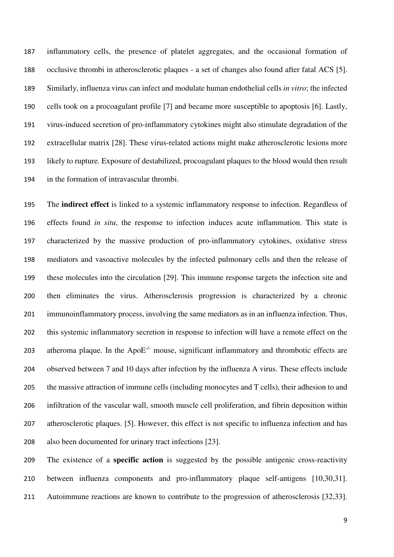inflammatory cells, the presence of platelet aggregates, and the occasional formation of occlusive thrombi in atherosclerotic plaques - a set of changes also found after fatal ACS [5]. Similarly, influenza virus can infect and modulate human endothelial cells *in vitro*; the infected cells took on a procoagulant profile [7] and became more susceptible to apoptosis [6]. Lastly, virus-induced secretion of pro-inflammatory cytokines might also stimulate degradation of the extracellular matrix [28]. These virus-related actions might make atherosclerotic lesions more likely to rupture. Exposure of destabilized, procoagulant plaques to the blood would then result in the formation of intravascular thrombi.

The **indirect effect** is linked to a systemic inflammatory response to infection. Regardless of effects found *in situ*, the response to infection induces acute inflammation. This state is characterized by the massive production of pro-inflammatory cytokines, oxidative stress mediators and vasoactive molecules by the infected pulmonary cells and then the release of these molecules into the circulation [29]. This immune response targets the infection site and then eliminates the virus. Atherosclerosis progression is characterized by a chronic immunoinflammatory process, involving the same mediators as in an influenza infection. Thus, this systemic inflammatory secretion in response to infection will have a remote effect on the 203 atheroma plaque. In the Apo $E^{-/-}$  mouse, significant inflammatory and thrombotic effects are observed between 7 and 10 days after infection by the influenza A virus. These effects include the massive attraction of immune cells (including monocytes and T cells), their adhesion to and infiltration of the vascular wall, smooth muscle cell proliferation, and fibrin deposition within atherosclerotic plaques. [5]. However, this effect is not specific to influenza infection and has also been documented for urinary tract infections [23].

The existence of a **specific action** is suggested by the possible antigenic cross-reactivity between influenza components and pro-inflammatory plaque self-antigens [10,30,31]. Autoimmune reactions are known to contribute to the progression of atherosclerosis [32,33].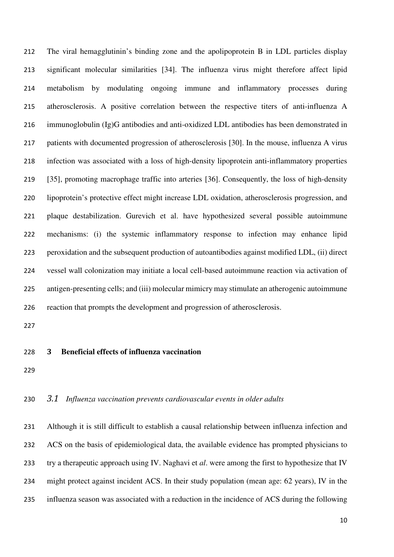The viral hemagglutinin's binding zone and the apolipoprotein B in LDL particles display significant molecular similarities [34]. The influenza virus might therefore affect lipid metabolism by modulating ongoing immune and inflammatory processes during atherosclerosis. A positive correlation between the respective titers of anti-influenza A immunoglobulin (Ig)G antibodies and anti-oxidized LDL antibodies has been demonstrated in patients with documented progression of atherosclerosis [30]. In the mouse, influenza A virus infection was associated with a loss of high-density lipoprotein anti-inflammatory properties [35], promoting macrophage traffic into arteries [36]. Consequently, the loss of high-density lipoprotein's protective effect might increase LDL oxidation, atherosclerosis progression, and plaque destabilization. Gurevich et al. have hypothesized several possible autoimmune mechanisms: (i) the systemic inflammatory response to infection may enhance lipid peroxidation and the subsequent production of autoantibodies against modified LDL, (ii) direct vessel wall colonization may initiate a local cell-based autoimmune reaction via activation of antigen-presenting cells; and (iii) molecular mimicry may stimulate an atherogenic autoimmune reaction that prompts the development and progression of atherosclerosis.

# **3 Beneficial effects of influenza vaccination**

#### *3.1 Influenza vaccination prevents cardiovascular events in older adults*

Although it is still difficult to establish a causal relationship between influenza infection and ACS on the basis of epidemiological data, the available evidence has prompted physicians to try a therapeutic approach using IV. Naghavi et *al*. were among the first to hypothesize that IV might protect against incident ACS. In their study population (mean age: 62 years), IV in the influenza season was associated with a reduction in the incidence of ACS during the following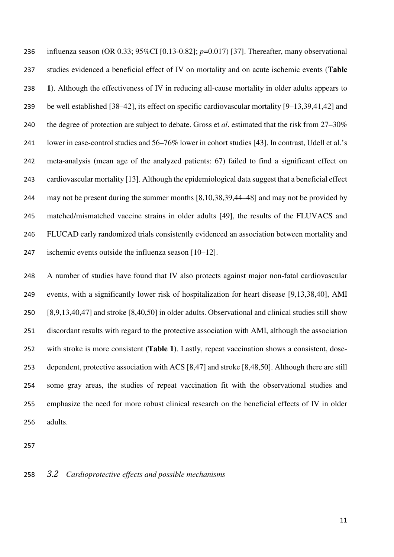influenza season (OR 0.33; 95%CI [0.13-0.82]; *p*=0.017) [37]. Thereafter, many observational studies evidenced a beneficial effect of IV on mortality and on acute ischemic events (**Table 1**). Although the effectiveness of IV in reducing all-cause mortality in older adults appears to be well established [38–42], its effect on specific cardiovascular mortality [9–13,39,41,42] and the degree of protection are subject to debate. Gross et *al*. estimated that the risk from 27–30% lower in case-control studies and 56–76% lower in cohort studies [43]. In contrast, Udell et al.'s meta-analysis (mean age of the analyzed patients: 67) failed to find a significant effect on cardiovascular mortality [13]. Although the epidemiological data suggest that a beneficial effect may not be present during the summer months [8,10,38,39,44–48] and may not be provided by matched/mismatched vaccine strains in older adults [49], the results of the FLUVACS and FLUCAD early randomized trials consistently evidenced an association between mortality and ischemic events outside the influenza season [10–12].

A number of studies have found that IV also protects against major non-fatal cardiovascular events, with a significantly lower risk of hospitalization for heart disease [9,13,38,40], AMI [8,9,13,40,47] and stroke [8,40,50] in older adults. Observational and clinical studies still show discordant results with regard to the protective association with AMI, although the association with stroke is more consistent **(Table 1)**. Lastly, repeat vaccination shows a consistent, dose-dependent, protective association with ACS [8,47] and stroke [8,48,50]. Although there are still some gray areas, the studies of repeat vaccination fit with the observational studies and emphasize the need for more robust clinical research on the beneficial effects of IV in older adults.

## *3.2 Cardioprotective effects and possible mechanisms*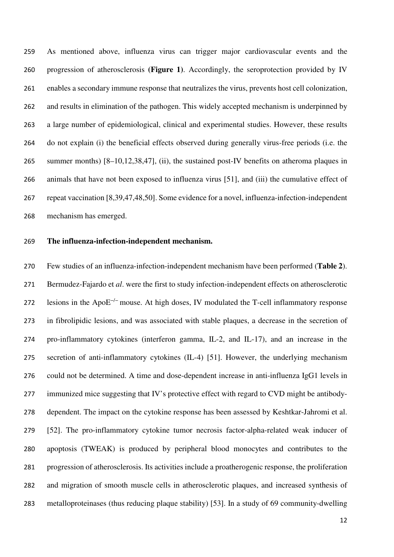As mentioned above, influenza virus can trigger major cardiovascular events and the progression of atherosclerosis **(Figure 1)**. Accordingly, the seroprotection provided by IV enables a secondary immune response that neutralizes the virus, prevents host cell colonization, and results in elimination of the pathogen. This widely accepted mechanism is underpinned by a large number of epidemiological, clinical and experimental studies. However, these results do not explain (i) the beneficial effects observed during generally virus-free periods (i.e. the summer months) [8–10,12,38,47], (ii), the sustained post-IV benefits on atheroma plaques in animals that have not been exposed to influenza virus [51], and (iii) the cumulative effect of repeat vaccination [8,39,47,48,50]. Some evidence for a novel, influenza-infection-independent mechanism has emerged.

#### **The influenza-infection-independent mechanism.**

Few studies of an influenza-infection-independent mechanism have been performed (**Table 2**). Bermudez-Fajardo et *al*. were the first to study infection-independent effects on atherosclerotic 272 lesions in the Apo $E^{-/-}$  mouse. At high doses, IV modulated the T-cell inflammatory response in fibrolipidic lesions, and was associated with stable plaques, a decrease in the secretion of pro-inflammatory cytokines (interferon gamma, IL-2, and IL-17), and an increase in the secretion of anti-inflammatory cytokines (IL-4) [51]. However, the underlying mechanism could not be determined. A time and dose-dependent increase in anti-influenza IgG1 levels in 277 immunized mice suggesting that IV's protective effect with regard to CVD might be antibody-dependent. The impact on the cytokine response has been assessed by Keshtkar-Jahromi et al. [52]. The pro-inflammatory cytokine tumor necrosis factor-alpha-related weak inducer of apoptosis (TWEAK) is produced by peripheral blood monocytes and contributes to the progression of atherosclerosis. Its activities include a proatherogenic response, the proliferation and migration of smooth muscle cells in atherosclerotic plaques, and increased synthesis of metalloproteinases (thus reducing plaque stability) [53]. In a study of 69 community-dwelling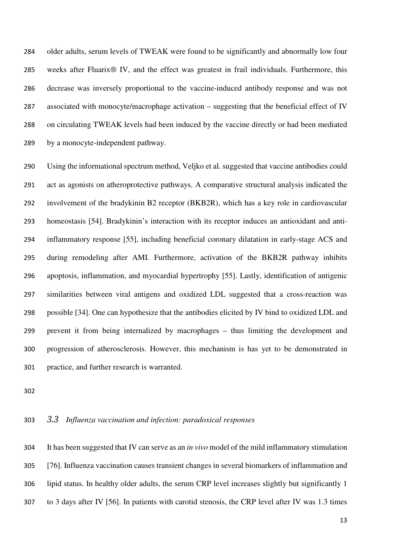older adults, serum levels of TWEAK were found to be significantly and abnormally low four weeks after Fluarix® IV, and the effect was greatest in frail individuals. Furthermore, this decrease was inversely proportional to the vaccine-induced antibody response and was not associated with monocyte/macrophage activation – suggesting that the beneficial effect of IV on circulating TWEAK levels had been induced by the vaccine directly or had been mediated by a monocyte-independent pathway.

Using the informational spectrum method, Veljko et al. suggested that vaccine antibodies could act as agonists on atheroprotective pathways. A comparative structural analysis indicated the involvement of the bradykinin B2 receptor (BKB2R), which has a key role in cardiovascular homeostasis [54]. Bradykinin's interaction with its receptor induces an antioxidant and anti-inflammatory response [55], including beneficial coronary dilatation in early-stage ACS and during remodeling after AMI. Furthermore, activation of the BKB2R pathway inhibits apoptosis, inflammation, and myocardial hypertrophy [55]. Lastly, identification of antigenic similarities between viral antigens and oxidized LDL suggested that a cross-reaction was possible [34]. One can hypothesize that the antibodies elicited by IV bind to oxidized LDL and prevent it from being internalized by macrophages – thus limiting the development and progression of atherosclerosis. However, this mechanism is has yet to be demonstrated in practice, and further research is warranted.

# *3.3 Influenza vaccination and infection: paradoxical responses*

It has been suggested that IV can serve as an *in vivo* model of the mild inflammatory stimulation [76]. Influenza vaccination causes transient changes in several biomarkers of inflammation and lipid status. In healthy older adults, the serum CRP level increases slightly but significantly 1 to 3 days after IV [56]. In patients with carotid stenosis, the CRP level after IV was 1.3 times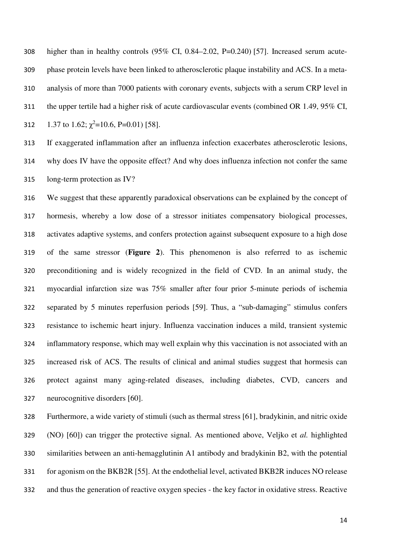higher than in healthy controls (95% CI, 0.84–2.02, P=0.240) [57]. Increased serum acute-phase protein levels have been linked to atherosclerotic plaque instability and ACS. In a meta-analysis of more than 7000 patients with coronary events, subjects with a serum CRP level in the upper tertile had a higher risk of acute cardiovascular events (combined OR 1.49, 95% CI, 312 1.37 to 1.62;  $\chi^2$ =10.6, P=0.01) [58].

If exaggerated inflammation after an influenza infection exacerbates atherosclerotic lesions, why does IV have the opposite effect? And why does influenza infection not confer the same long-term protection as IV?

We suggest that these apparently paradoxical observations can be explained by the concept of hormesis, whereby a low dose of a stressor initiates compensatory biological processes, activates adaptive systems, and confers protection against subsequent exposure to a high dose of the same stressor (**Figure 2**). This phenomenon is also referred to as ischemic preconditioning and is widely recognized in the field of CVD. In an animal study, the myocardial infarction size was 75% smaller after four prior 5-minute periods of ischemia separated by 5 minutes reperfusion periods [59]. Thus, a "sub-damaging" stimulus confers resistance to ischemic heart injury. Influenza vaccination induces a mild, transient systemic inflammatory response, which may well explain why this vaccination is not associated with an increased risk of ACS. The results of clinical and animal studies suggest that hormesis can protect against many aging-related diseases, including diabetes, CVD, cancers and neurocognitive disorders [60].

Furthermore, a wide variety of stimuli (such as thermal stress [61], bradykinin, and nitric oxide (NO) [60]) can trigger the protective signal. As mentioned above, Veljko et *al.* highlighted similarities between an anti-hemagglutinin A1 antibody and bradykinin B2, with the potential for agonism on the BKB2R [55]. At the endothelial level, activated BKB2R induces NO release and thus the generation of reactive oxygen species - the key factor in oxidative stress. Reactive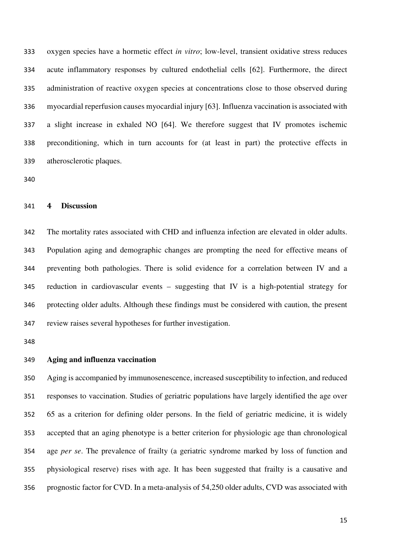oxygen species have a hormetic effect *in vitro*; low-level, transient oxidative stress reduces acute inflammatory responses by cultured endothelial cells [62]. Furthermore, the direct administration of reactive oxygen species at concentrations close to those observed during myocardial reperfusion causes myocardial injury [63]. Influenza vaccination is associated with a slight increase in exhaled NO [64]. We therefore suggest that IV promotes ischemic preconditioning, which in turn accounts for (at least in part) the protective effects in atherosclerotic plaques.

#### **4 Discussion**

The mortality rates associated with CHD and influenza infection are elevated in older adults. Population aging and demographic changes are prompting the need for effective means of preventing both pathologies. There is solid evidence for a correlation between IV and a reduction in cardiovascular events – suggesting that IV is a high-potential strategy for protecting older adults. Although these findings must be considered with caution, the present review raises several hypotheses for further investigation.

# **Aging and influenza vaccination**

Aging is accompanied by immunosenescence, increased susceptibility to infection, and reduced responses to vaccination. Studies of geriatric populations have largely identified the age over 65 as a criterion for defining older persons. In the field of geriatric medicine, it is widely accepted that an aging phenotype is a better criterion for physiologic age than chronological age *per se*. The prevalence of frailty (a geriatric syndrome marked by loss of function and physiological reserve) rises with age. It has been suggested that frailty is a causative and prognostic factor for CVD. In a meta-analysis of 54,250 older adults, CVD was associated with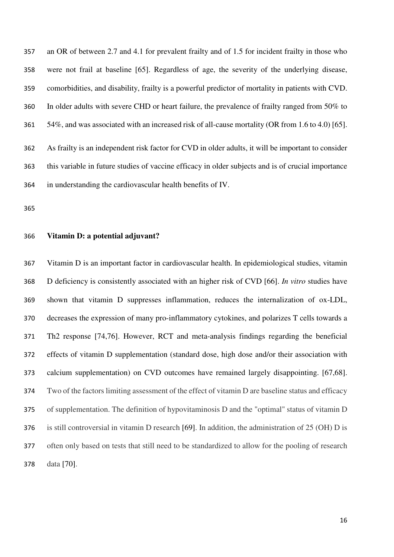an OR of between 2.7 and 4.1 for prevalent frailty and of 1.5 for incident frailty in those who were not frail at baseline [65]. Regardless of age, the severity of the underlying disease, comorbidities, and disability, frailty is a powerful predictor of mortality in patients with CVD. In older adults with severe CHD or heart failure, the prevalence of frailty ranged from 50% to 54%, and was associated with an increased risk of all-cause mortality (OR from 1.6 to 4.0) [65]. As frailty is an independent risk factor for CVD in older adults, it will be important to consider this variable in future studies of vaccine efficacy in older subjects and is of crucial importance in understanding the cardiovascular health benefits of IV.

#### **Vitamin D: a potential adjuvant?**

Vitamin D is an important factor in cardiovascular health. In epidemiological studies, vitamin D deficiency is consistently associated with an higher risk of CVD [66]. *In vitro* studies have shown that vitamin D suppresses inflammation, reduces the internalization of ox-LDL, decreases the expression of many pro-inflammatory cytokines, and polarizes T cells towards a Th2 response [74,76]. However, RCT and meta-analysis findings regarding the beneficial effects of vitamin D supplementation (standard dose, high dose and/or their association with calcium supplementation) on CVD outcomes have remained largely disappointing. [67,68]. Two of the factors limiting assessment of the effect of vitamin D are baseline status and efficacy of supplementation. The definition of hypovitaminosis D and the "optimal" status of vitamin D is still controversial in vitamin D research [69]. In addition, the administration of 25 (OH) D is often only based on tests that still need to be standardized to allow for the pooling of research data [70].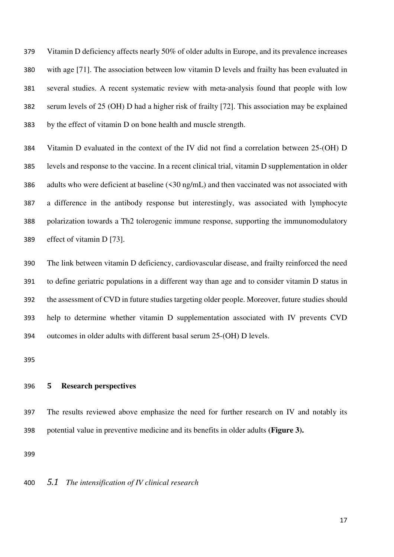Vitamin D deficiency affects nearly 50% of older adults in Europe, and its prevalence increases with age [71]. The association between low vitamin D levels and frailty has been evaluated in several studies. A recent systematic review with meta-analysis found that people with low serum levels of 25 (OH) D had a higher risk of frailty [72]. This association may be explained by the effect of vitamin D on bone health and muscle strength.

Vitamin D evaluated in the context of the IV did not find a correlation between 25-(OH) D levels and response to the vaccine. In a recent clinical trial, vitamin D supplementation in older adults who were deficient at baseline (<30 ng/mL) and then vaccinated was not associated with a difference in the antibody response but interestingly, was associated with lymphocyte polarization towards a Th2 tolerogenic immune response, supporting the immunomodulatory effect of vitamin D [73].

The link between vitamin D deficiency, cardiovascular disease, and frailty reinforced the need to define geriatric populations in a different way than age and to consider vitamin D status in the assessment of CVD in future studies targeting older people. Moreover, future studies should help to determine whether vitamin D supplementation associated with IV prevents CVD outcomes in older adults with different basal serum 25-(OH) D levels.

#### **5 Research perspectives**

The results reviewed above emphasize the need for further research on IV and notably its potential value in preventive medicine and its benefits in older adults **(Figure 3).**

#### *5.1 The intensification of IV clinical research*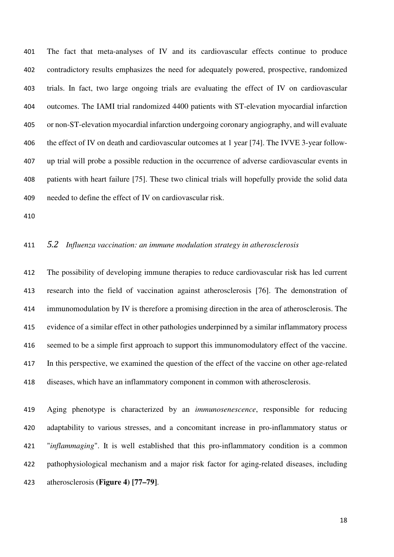The fact that meta-analyses of IV and its cardiovascular effects continue to produce contradictory results emphasizes the need for adequately powered, prospective, randomized trials. In fact, two large ongoing trials are evaluating the effect of IV on cardiovascular outcomes. The IAMI trial randomized 4400 patients with ST-elevation myocardial infarction or non-ST-elevation myocardial infarction undergoing coronary angiography, and will evaluate the effect of IV on death and cardiovascular outcomes at 1 year [74]. The IVVE 3-year follow-up trial will probe a possible reduction in the occurrence of adverse cardiovascular events in patients with heart failure [75]. These two clinical trials will hopefully provide the solid data needed to define the effect of IV on cardiovascular risk.

# *5.2 Influenza vaccination: an immune modulation strategy in atherosclerosis*

The possibility of developing immune therapies to reduce cardiovascular risk has led current research into the field of vaccination against atherosclerosis [76]. The demonstration of immunomodulation by IV is therefore a promising direction in the area of atherosclerosis. The evidence of a similar effect in other pathologies underpinned by a similar inflammatory process seemed to be a simple first approach to support this immunomodulatory effect of the vaccine. In this perspective, we examined the question of the effect of the vaccine on other age-related diseases, which have an inflammatory component in common with atherosclerosis.

Aging phenotype is characterized by an *immunosenescence*, responsible for reducing adaptability to various stresses, and a concomitant increase in pro-inflammatory status or "*inflammaging*". It is well established that this pro-inflammatory condition is a common pathophysiological mechanism and a major risk factor for aging-related diseases, including atherosclerosis **(Figure 4) [77–79]**.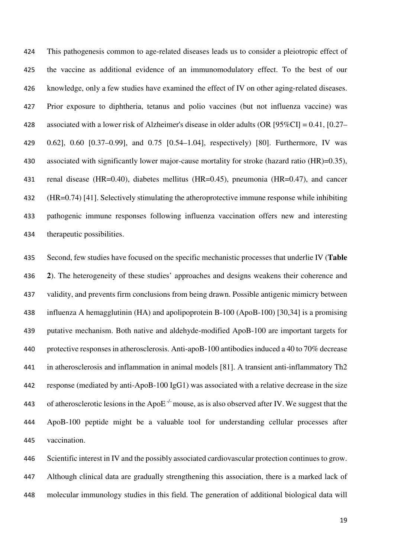This pathogenesis common to age-related diseases leads us to consider a pleiotropic effect of the vaccine as additional evidence of an immunomodulatory effect. To the best of our knowledge, only a few studies have examined the effect of IV on other aging-related diseases. Prior exposure to diphtheria, tetanus and polio vaccines (but not influenza vaccine) was associated with a lower risk of Alzheimer's disease in older adults (OR [95%CI] = 0.41, [0.27– 0.62], 0.60 [0.37–0.99], and 0.75 [0.54–1.04], respectively) [80]. Furthermore, IV was 430 associated with significantly lower major-cause mortality for stroke (hazard ratio (HR)=0.35), renal disease (HR=0.40), diabetes mellitus (HR=0.45), pneumonia (HR=0.47), and cancer (HR=0.74) [41]. Selectively stimulating the atheroprotective immune response while inhibiting pathogenic immune responses following influenza vaccination offers new and interesting therapeutic possibilities.

Second, few studies have focused on the specific mechanistic processes that underlie IV (**Table 2**). The heterogeneity of these studies' approaches and designs weakens their coherence and validity, and prevents firm conclusions from being drawn. Possible antigenic mimicry between influenza A hemagglutinin (HA) and apolipoprotein B-100 (ApoB-100) [30,34] is a promising putative mechanism. Both native and aldehyde-modified ApoB-100 are important targets for protective responses in atherosclerosis. Anti-apoB-100 antibodies induced a 40 to 70% decrease in atherosclerosis and inflammation in animal models [81]. A transient anti-inflammatory Th2 response (mediated by anti-ApoB-100 IgG1) was associated with a relative decrease in the size 443 of atherosclerotic lesions in the ApoE<sup> $-/-$ </sup> mouse, as is also observed after IV. We suggest that the ApoB-100 peptide might be a valuable tool for understanding cellular processes after vaccination.

Scientific interest in IV and the possibly associated cardiovascular protection continues to grow. Although clinical data are gradually strengthening this association, there is a marked lack of molecular immunology studies in this field. The generation of additional biological data will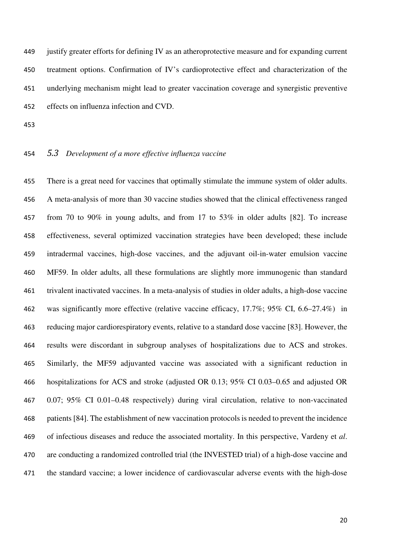justify greater efforts for defining IV as an atheroprotective measure and for expanding current treatment options. Confirmation of IV's cardioprotective effect and characterization of the underlying mechanism might lead to greater vaccination coverage and synergistic preventive effects on influenza infection and CVD.

### *5.3 Development of a more effective influenza vaccine*

There is a great need for vaccines that optimally stimulate the immune system of older adults. A meta-analysis of more than 30 vaccine studies showed that the clinical effectiveness ranged from 70 to 90% in young adults, and from 17 to 53% in older adults [82]. To increase effectiveness, several optimized vaccination strategies have been developed; these include intradermal vaccines, high-dose vaccines, and the adjuvant oil-in-water emulsion vaccine MF59. In older adults, all these formulations are slightly more immunogenic than standard trivalent inactivated vaccines. In a meta-analysis of studies in older adults, a high-dose vaccine was significantly more effective (relative vaccine efficacy, 17.7%; 95% CI, 6.6–27.4%) in reducing major cardiorespiratory events, relative to a standard dose vaccine [83]. However, the results were discordant in subgroup analyses of hospitalizations due to ACS and strokes. Similarly, the MF59 adjuvanted vaccine was associated with a significant reduction in hospitalizations for ACS and stroke (adjusted OR 0.13; 95% CI 0.03–0.65 and adjusted OR 0.07; 95% CI 0.01–0.48 respectively) during viral circulation, relative to non-vaccinated patients [84]. The establishment of new vaccination protocols is needed to prevent the incidence of infectious diseases and reduce the associated mortality. In this perspective, Vardeny et *al*. are conducting a randomized controlled trial (the INVESTED trial) of a high-dose vaccine and the standard vaccine; a lower incidence of cardiovascular adverse events with the high-dose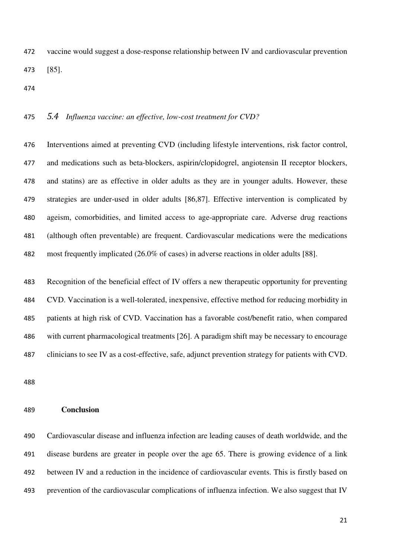vaccine would suggest a dose-response relationship between IV and cardiovascular prevention [85].

## *5.4 Influenza vaccine: an effective, low-cost treatment for CVD?*

Interventions aimed at preventing CVD (including lifestyle interventions, risk factor control, and medications such as beta-blockers, aspirin/clopidogrel, angiotensin II receptor blockers, and statins) are as effective in older adults as they are in younger adults. However, these strategies are under-used in older adults [86,87]. Effective intervention is complicated by ageism, comorbidities, and limited access to age-appropriate care. Adverse drug reactions (although often preventable) are frequent. Cardiovascular medications were the medications most frequently implicated (26.0% of cases) in adverse reactions in older adults [88].

Recognition of the beneficial effect of IV offers a new therapeutic opportunity for preventing CVD. Vaccination is a well-tolerated, inexpensive, effective method for reducing morbidity in patients at high risk of CVD. Vaccination has a favorable cost/benefit ratio, when compared with current pharmacological treatments [26]. A paradigm shift may be necessary to encourage clinicians to see IV as a cost-effective, safe, adjunct prevention strategy for patients with CVD.

#### **Conclusion**

Cardiovascular disease and influenza infection are leading causes of death worldwide, and the disease burdens are greater in people over the age 65. There is growing evidence of a link between IV and a reduction in the incidence of cardiovascular events. This is firstly based on prevention of the cardiovascular complications of influenza infection. We also suggest that IV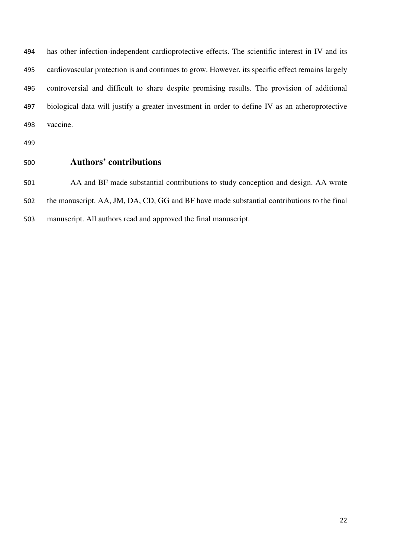has other infection-independent cardioprotective effects. The scientific interest in IV and its cardiovascular protection is and continues to grow. However, its specific effect remains largely controversial and difficult to share despite promising results. The provision of additional biological data will justify a greater investment in order to define IV as an atheroprotective vaccine.

- 
- 

# **Authors' contributions**

AA and BF made substantial contributions to study conception and design. AA wrote the manuscript. AA, JM, DA, CD, GG and BF have made substantial contributions to the final manuscript. All authors read and approved the final manuscript.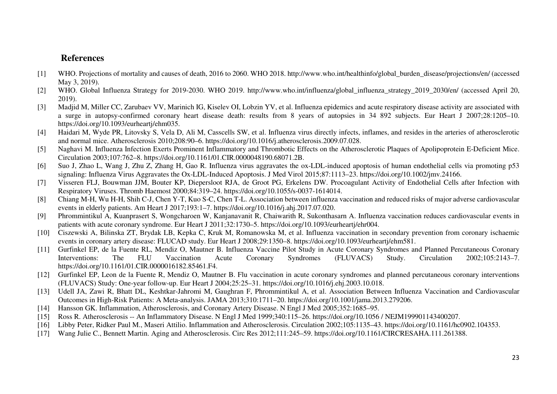# **References**

- [1] WHO. Projections of mortality and causes of death, 2016 to 2060. WHO 2018. http://www.who.int/healthinfo/global\_burden\_disease/projections/en/ (accessed May 3, 2019).
- [2] WHO. Global Influenza Strategy for 2019-2030. WHO 2019. http://www.who.int/influenza/global\_influenza\_strategy\_2019\_2030/en/ (accessed April 20, 2019).
- [3] Madjid M, Miller CC, Zarubaev VV, Marinich IG, Kiselev OI, Lobzin YV, et al. Influenza epidemics and acute respiratory disease activity are associated with a surge in autopsy-confirmed coronary heart disease death: results from 8 years of autopsies in 34 892 subjects. Eur Heart J 2007;28:1205-10. https://doi.org/10.1093/eurheartj/ehm035.
- [4] Haidari M, Wyde PR, Litovsky S, Vela D, Ali M, Casscells SW, et al. Influenza virus directly infects, inflames, and resides in the arteries of atherosclerotic and normal mice. Atherosclerosis 2010;208:90–6. https://doi.org/10.1016/j.atherosclerosis.2009.07.028.
- [5] Naghavi M. Influenza Infection Exerts Prominent Inflammatory and Thrombotic Effects on the Atherosclerotic Plaques of Apolipoprotein E-Deficient Mice. Circulation 2003;107:762–8. https://doi.org/10.1161/01.CIR.0000048190.68071.2B.
- [6] Suo J, Zhao L, Wang J, Zhu Z, Zhang H, Gao R. Influenza virus aggravates the ox-LDL-induced apoptosis of human endothelial cells via promoting p53 signaling: Influenza Virus Aggravates the Ox-LDL-Induced Apoptosis. J Med Virol 2015;87:1113–23. https://doi.org/10.1002/jmv.24166.
- [7] Visseren FLJ, Bouwman JJM, Bouter KP, Diepersloot RJA, de Groot PG, Erkelens DW. Procoagulant Activity of Endothelial Cells after Infection with Respiratory Viruses. Thromb Haemost 2000;84:319–24. https://doi.org/10.1055/s-0037-1614014.
- [8] Chiang M-H, Wu H-H, Shih C-J, Chen Y-T, Kuo S-C, Chen T-L. Association between influenza vaccination and reduced risks of major adverse cardiovascular events in elderly patients. Am Heart J 2017;193:1–7. https://doi.org/10.1016/j.ahj.2017.07.020.
- [9] Phrommintikul A, Kuanprasert S, Wongcharoen W, Kanjanavanit R, Chaiwarith R, Sukonthasarn A. Influenza vaccination reduces cardiovascular events in patients with acute coronary syndrome. Eur Heart J 2011;32:1730–5. https://doi.org/10.1093/eurheartj/ehr004.
- [10] Ciszewski A, Bilinska ZT, Brydak LB, Kepka C, Kruk M, Romanowska M, et al. Influenza vaccination in secondary prevention from coronary ischaemic events in coronary artery disease: FLUCAD study. Eur Heart J 2008;29:1350–8. https://doi.org/10.1093/eurheartj/ehm581.
- [11] Gurfinkel EP, de la Fuente RL, Mendiz O, Mautner B. Influenza Vaccine Pilot Study in Acute Coronary Syndromes and Planned Percutaneous Coronary Interventions: The FLU Vaccination Acute Coronary Syndromes (FLUVACS) Study. Circulation 2002;105:2143-7. https://doi.org/10.1161/01.CIR.0000016182.85461.F4.
- [12] Gurfinkel EP, Leon de la Fuente R, Mendiz O, Mautner B. Flu vaccination in acute coronary syndromes and planned percutaneous coronary interventions (FLUVACS) Study: One-year follow-up. Eur Heart J 2004;25:25–31. https://doi.org/10.1016/j.ehj.2003.10.018.
- [13] Udell JA, Zawi R, Bhatt DL, Keshtkar-Jahromi M, Gaughran F, Phrommintikul A, et al. Association Between Influenza Vaccination and Cardiovascular Outcomes in High-Risk Patients: A Meta-analysis. JAMA 2013;310:1711–20. https://doi.org/10.1001/jama.2013.279206.
- [14] Hansson GK. Inflammation, Atherosclerosis, and Coronary Artery Disease. N Engl J Med 2005;352:1685–95.
- [15] Ross R. Atherosclerosis -- An Inflammatory Disease. N Engl J Med 1999;340:115–26. https://doi.org/10.1056 / NEJM199901143400207.
- [16] Libby Peter, Ridker Paul M., Maseri Attilio. Inflammation and Atherosclerosis. Circulation 2002;105:1135–43. https://doi.org/10.1161/hc0902.104353.
- [17] Wang Julie C., Bennett Martin. Aging and Atherosclerosis. Circ Res 2012;111:245–59. https://doi.org/10.1161/CIRCRESAHA.111.261388.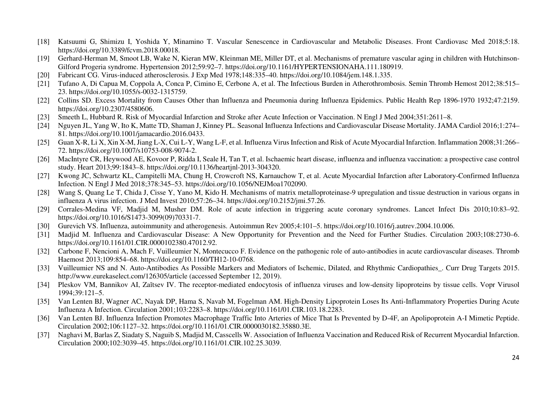- [18] Katsuumi G, Shimizu I, Yoshida Y, Minamino T. Vascular Senescence in Cardiovascular and Metabolic Diseases. Front Cardiovasc Med 2018;5:18. https://doi.org/10.3389/fcvm.2018.00018.
- [19] Gerhard-Herman M, Smoot LB, Wake N, Kieran MW, Kleinman ME, Miller DT, et al. Mechanisms of premature vascular aging in children with Hutchinson-Gilford Progeria syndrome. Hypertension 2012;59:92–7. https://doi.org/10.1161/HYPERTENSIONAHA.111.180919.
- [20] Fabricant CG. Virus-induced atherosclerosis. J Exp Med 1978;148:335–40. https://doi.org/10.1084/jem.148.1.335.
- [21] Tufano A, Di Capua M, Coppola A, Conca P, Cimino E, Cerbone A, et al. The Infectious Burden in Atherothrombosis. Semin Thromb Hemost 2012;38:515–23. https://doi.org/10.1055/s-0032-1315759.
- [22] Collins SD. Excess Mortality from Causes Other than Influenza and Pneumonia during Influenza Epidemics. Public Health Rep 1896-1970 1932;47:2159. https://doi.org/10.2307/4580606.
- [23] Smeeth L, Hubbard R. Risk of Myocardial Infarction and Stroke after Acute Infection or Vaccination. N Engl J Med 2004;351:2611–8.
- [24] Nguyen JL, Yang W, Ito K, Matte TD, Shaman J, Kinney PL. Seasonal Influenza Infections and Cardiovascular Disease Mortality. JAMA Cardiol 2016;1:274– 81. https://doi.org/10.1001/jamacardio.2016.0433.
- [25] Guan X-R, Li X, Xin X-M, Jiang L-X, Cui L-Y, Wang L-F, et al. Influenza Virus Infection and Risk of Acute Myocardial Infarction. Inflammation 2008;31:266– 72. https://doi.org/10.1007/s10753-008-9074-2.
- [26] MacIntyre CR, Heywood AE, Kovoor P, Ridda I, Seale H, Tan T, et al. Ischaemic heart disease, influenza and influenza vaccination: a prospective case control study. Heart 2013;99:1843–8. https://doi.org/10.1136/heartjnl-2013-304320.
- [27] Kwong JC, Schwartz KL, Campitelli MA, Chung H, Crowcroft NS, Karnauchow T, et al. Acute Myocardial Infarction after Laboratory-Confirmed Influenza Infection. N Engl J Med 2018;378:345–53. https://doi.org/10.1056/NEJMoa1702090.
- [28] Wang S, Quang Le T, Chida J, Cisse Y, Yano M, Kido H. Mechanisms of matrix metalloproteinase-9 upregulation and tissue destruction in various organs in influenza A virus infection. J Med Invest 2010;57:26–34. https://doi.org/10.2152/jmi.57.26.
- [29] Corrales-Medina VF, Madjid M, Musher DM. Role of acute infection in triggering acute coronary syndromes. Lancet Infect Dis 2010;10:83–92. https://doi.org/10.1016/S1473-3099(09)70331-7.
- [30] Gurevich VS. Influenza, autoimmunity and atherogenesis. Autoimmun Rev 2005;4:101–5. https://doi.org/10.1016/j.autrev.2004.10.006.
- [31] Madjid M. Influenza and Cardiovascular Disease: A New Opportunity for Prevention and the Need for Further Studies. Circulation 2003;108:2730-6. https://doi.org/10.1161/01.CIR.0000102380.47012.92.
- [32] Carbone F, Nencioni A, Mach F, Vuilleumier N, Montecucco F. Evidence on the pathogenic role of auto-antibodies in acute cardiovascular diseases. Thromb Haemost 2013;109:854–68. https://doi.org/10.1160/TH12-10-0768.
- [33] Vuilleumier NS and N. Auto-Antibodies As Possible Markers and Mediators of Ischemic, Dilated, and Rhythmic Cardiopathies\_. Curr Drug Targets 2015. http://www.eurekaselect.com/126305/article (accessed September 12, 2019).
- [34] Pleskov VM, Bannikov AI, Zaĭtsev IV. The receptor-mediated endocytosis of influenza viruses and low-density lipoproteins by tissue cells. Vopr Virusol 1994;39:121–5.
- [35] Van Lenten BJ, Wagner AC, Nayak DP, Hama S, Navab M, Fogelman AM. High-Density Lipoprotein Loses Its Anti-Inflammatory Properties During Acute Influenza A Infection. Circulation 2001;103:2283–8. https://doi.org/10.1161/01.CIR.103.18.2283.
- [36] Van Lenten BJ. Influenza Infection Promotes Macrophage Traffic Into Arteries of Mice That Is Prevented by D-4F, an Apolipoprotein A-I Mimetic Peptide. Circulation 2002;106:1127–32. https://doi.org/10.1161/01.CIR.0000030182.35880.3E.
- [37] Naghavi M, Barlas Z, Siadaty S, Naguib S, Madjid M, Casscells W. Association of Influenza Vaccination and Reduced Risk of Recurrent Myocardial Infarction. Circulation 2000;102:3039–45. https://doi.org/10.1161/01.CIR.102.25.3039.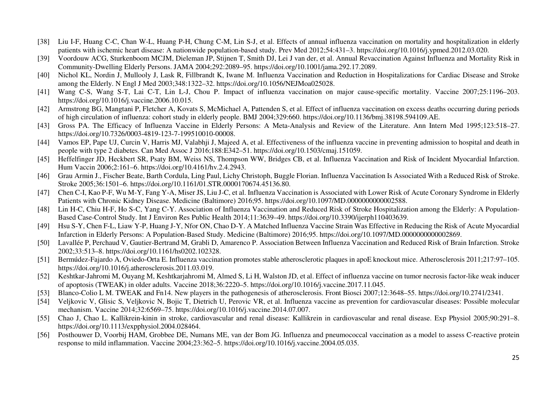- [38] Liu I-F, Huang C-C, Chan W-L, Huang P-H, Chung C-M, Lin S-J, et al. Effects of annual influenza vaccination on mortality and hospitalization in elderly patients with ischemic heart disease: A nationwide population-based study. Prev Med 2012;54:431–3. https://doi.org/10.1016/j.ypmed.2012.03.020.
- [39] Voordouw ACG, Sturkenboom MCJM, Dieleman JP, Stijnen T, Smith DJ, Lei J van der, et al. Annual Revaccination Against Influenza and Mortality Risk inCommunity-Dwelling Elderly Persons. JAMA 2004;292:2089–95. https://doi.org/10.1001/jama.292.17.2089.
- [40] Nichol KL, Nordin J, Mullooly J, Lask R, Fillbrandt K, Iwane M. Influenza Vaccination and Reduction in Hospitalizations for Cardiac Disease and Stroke among the Elderly. N Engl J Med 2003;348:1322–32. https://doi.org/10.1056/NEJMoa025028.
- [41] Wang C-S, Wang S-T, Lai C-T, Lin L-J, Chou P. Impact of influenza vaccination on major cause-specific mortality. Vaccine 2007;25:1196–203. https://doi.org/10.1016/j.vaccine.2006.10.015.
- [42] Armstrong BG, Mangtani P, Fletcher A, Kovats S, McMichael A, Pattenden S, et al. Effect of influenza vaccination on excess deaths occurring during periods of high circulation of influenza: cohort study in elderly people. BMJ 2004;329:660. https://doi.org/10.1136/bmj.38198.594109.AE.
- [43] Gross PA. The Efficacy of Influenza Vaccine in Elderly Persons: A Meta-Analysis and Review of the Literature. Ann Intern Med 1995;123:518–27. https://doi.org/10.7326/0003-4819-123-7-199510010-00008.
- [44] Vamos EP, Pape UJ, Curcin V, Harris MJ, Valabhji J, Majeed A, et al. Effectiveness of the influenza vaccine in preventing admission to hospital and death in people with type 2 diabetes. Can Med Assoc J 2016;188:E342–51. https://doi.org/10.1503/cmaj.151059.
- [45] Heffelfinger JD, Heckbert SR, Psaty BM, Weiss NS, Thompson WW, Bridges CB, et al. Influenza Vaccination and Risk of Incident Myocardial Infarction. Hum Vaccin 2006;2:161–6. https://doi.org/10.4161/hv.2.4.2943.
- [46] Grau Armin J., Fischer Beate, Barth Cordula, Ling Paul, Lichy Christoph, Buggle Florian. Influenza Vaccination Is Associated With a Reduced Risk of Stroke. Stroke 2005;36:1501–6. https://doi.org/10.1161/01.STR.0000170674.45136.80.
- [47] Chen C-I, Kao P-F, Wu M-Y, Fang Y-A, Miser JS, Liu J-C, et al. Influenza Vaccination is Associated with Lower Risk of Acute Coronary Syndrome in Elderly Patients with Chronic Kidney Disease. Medicine (Baltimore) 2016;95. https://doi.org/10.1097/MD.0000000000002588.
- [48] Lin H-C, Chiu H-F, Ho S-C, Yang C-Y. Association of Influenza Vaccination and Reduced Risk of Stroke Hospitalization among the Elderly: A Population-Based Case-Control Study. Int J Environ Res Public Health 2014;11:3639–49. https://doi.org/10.3390/ijerph110403639.
- [49] Hsu S-Y, Chen F-L, Liaw Y-P, Huang J-Y, Nfor ON, Chao D-Y. A Matched Influenza Vaccine Strain Was Effective in Reducing the Risk of Acute Myocardial Infarction in Elderly Persons: A Population-Based Study. Medicine (Baltimore) 2016;95. https://doi.org/10.1097/MD.0000000000002869.
- [50] Lavallée P, Perchaud V, Gautier-Bertrand M, Grabli D, Amarenco P. Association Between Influenza Vaccination and Reduced Risk of Brain Infarction. Stroke 2002;33:513–8. https://doi.org/10.1161/hs0202.102328.
- [51] Bermúdez-Fajardo A, Oviedo-Orta E. Influenza vaccination promotes stable atherosclerotic plaques in apoE knockout mice. Atherosclerosis 2011;217:97–105. https://doi.org/10.1016/j.atherosclerosis.2011.03.019.
- [52] Keshtkar-Jahromi M, Ouyang M, Keshtkarjahromi M, Almed S, Li H, Walston JD, et al. Effect of influenza vaccine on tumor necrosis factor-like weak inducer of apoptosis (TWEAK) in older adults. Vaccine 2018;36:2220–5. https://doi.org/10.1016/j.vaccine.2017.11.045.
- [53] Blanco-Colio L M. TWEAK and Fn14. New players in the pathogenesis of atherosclerosis. Front Biosci 2007;12:3648–55. https://doi.org/10.2741/2341.
- [54] Veljkovic V, Glisic S, Veljkovic N, Bojic T, Dietrich U, Perovic VR, et al. Influenza vaccine as prevention for cardiovascular diseases: Possible molecular mechanism. Vaccine 2014;32:6569–75. https://doi.org/10.1016/j.vaccine.2014.07.007.
- [55] Chao J, Chao L. Kallikrein-kinin in stroke, cardiovascular and renal disease: Kallikrein in cardiovascular and renal disease. Exp Physiol 2005;90:291–8. https://doi.org/10.1113/expphysiol.2004.028464.
- [56] Posthouwer D, Voorbij HAM, Grobbee DE, Numans ME, van der Bom JG. Influenza and pneumococcal vaccination as a model to assess C-reactive protein response to mild inflammation. Vaccine 2004;23:362–5. https://doi.org/10.1016/j.vaccine.2004.05.035.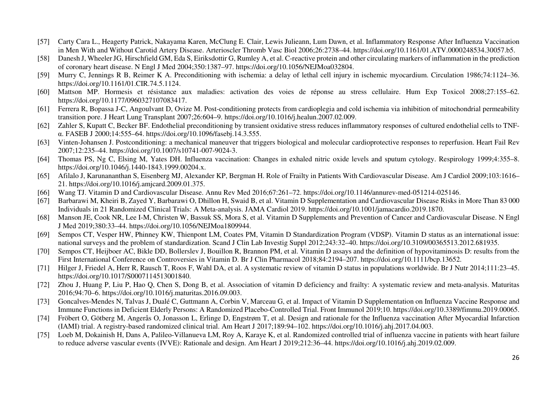- [57] Carty Cara L., Heagerty Patrick, Nakayama Karen, McClung E. Clair, Lewis Julieann, Lum Dawn, et al. Inflammatory Response After Influenza Vaccination in Men With and Without Carotid Artery Disease. Arterioscler Thromb Vasc Biol 2006;26:2738–44. https://doi.org/10.1161/01.ATV.0000248534.30057.b5.
- [58] Danesh J, Wheeler JG, Hirschfield GM, Eda S, Eiriksdottir G, Rumley A, et al. C-reactive protein and other circulating markers of inflammation in the prediction of coronary heart disease. N Engl J Med 2004;350:1387–97. https://doi.org/10.1056/NEJMoa032804.
- [59] Murry C, Jennings R B, Reimer K A. Preconditioning with ischemia: a delay of lethal cell injury in ischemic myocardium. Circulation 1986;74:1124–36.https://doi.org/10.1161/01.CIR.74.5.1124.
- [60] Mattson MP. Hormesis et résistance aux maladies: activation des voies de réponse au stress cellulaire. Hum Exp Toxicol 2008;27:155–62. https://doi.org/10.1177/0960327107083417.
- [61] Ferrera R, Bopassa J-C, Angoulvant D, Ovize M. Post-conditioning protects from cardioplegia and cold ischemia via inhibition of mitochondrial permeability transition pore. J Heart Lung Transplant 2007;26:604–9. https://doi.org/10.1016/j.healun.2007.02.009.
- [62] Zahler S, Kupatt C, Becker BF. Endothelial preconditioning by transient oxidative stress reduces inflammatory responses of cultured endothelial cells to TNFα. FASEB J 2000;14:555–64. https://doi.org/10.1096/fasebj.14.3.555.
- [63] Vinten-Johansen J. Postconditioning: a mechanical maneuver that triggers biological and molecular cardioprotective responses to reperfusion. Heart Fail Rev 2007;12:235–44. https://doi.org/10.1007/s10741-007-9024-3.
- [64] Thomas PS, Ng C, Elsing M, Yates DH. Influenza vaccination: Changes in exhaled nitric oxide levels and sputum cytology. Respirology 1999;4:355–8. https://doi.org/10.1046/j.1440-1843.1999.00204.x.
- [65] Afilalo J, Karunananthan S, Eisenberg MJ, Alexander KP, Bergman H. Role of Frailty in Patients With Cardiovascular Disease. Am J Cardiol 2009;103:1616–21. https://doi.org/10.1016/j.amjcard.2009.01.375.
- [66] Wang TJ. Vitamin D and Cardiovascular Disease. Annu Rev Med 2016;67:261–72. https://doi.org/10.1146/annurev-med-051214-025146.
- [67] Barbarawi M, Kheiri B, Zayed Y, Barbarawi O, Dhillon H, Swaid B, et al. Vitamin D Supplementation and Cardiovascular Disease Risks in More Than 83 <sup>000</sup> Individuals in 21 Randomized Clinical Trials: A Meta-analysis. JAMA Cardiol 2019. https://doi.org/10.1001/jamacardio.2019.1870.
- [68] Manson JE, Cook NR, Lee I-M, Christen W, Bassuk SS, Mora S, et al. Vitamin D Supplements and Prevention of Cancer and Cardiovascular Disease. N Engl J Med 2019;380:33–44. https://doi.org/10.1056/NEJMoa1809944.
- [69] Sempos CT, Vesper HW, Phinney KW, Thienpont LM, Coates PM, Vitamin D Standardization Program (VDSP). Vitamin D status as an international issue: national surveys and the problem of standardization. Scand J Clin Lab Investig Suppl 2012;243:32–40. https://doi.org/10.3109/00365513.2012.681935.
- [70] Sempos CT, Heijboer AC, Bikle DD, Bollerslev J, Bouillon R, Brannon PM, et al. Vitamin D assays and the definition of hypovitaminosis D: results from the First International Conference on Controversies in Vitamin D. Br J Clin Pharmacol 2018;84:2194–207. https://doi.org/10.1111/bcp.13652.
- [71] Hilger J, Friedel A, Herr R, Rausch T, Roos F, Wahl DA, et al. A systematic review of vitamin D status in populations worldwide. Br J Nutr 2014;111:23–45. https://doi.org/10.1017/S0007114513001840.
- [72] Zhou J, Huang P, Liu P, Hao Q, Chen S, Dong B, et al. Association of vitamin D deficiency and frailty: A systematic review and meta-analysis. Maturitas 2016;94:70–6. https://doi.org/10.1016/j.maturitas.2016.09.003.
- [73] Goncalves-Mendes N, Talvas J, Dualé C, Guttmann A, Corbin V, Marceau G, et al. Impact of Vitamin D Supplementation on Influenza Vaccine Response and Immune Functions in Deficient Elderly Persons: A Randomized Placebo-Controlled Trial. Front Immunol 2019;10. https://doi.org/10.3389/fimmu.2019.00065.
- [74] Fröbert O, Götberg M, Angerås O, Jonasson L, Erlinge D, Engstrøm T, et al. Design and rationale for the Influenza vaccination After Myocardial Infarction (IAMI) trial. A registry-based randomized clinical trial. Am Heart J 2017;189:94–102. https://doi.org/10.1016/j.ahj.2017.04.003.
- [75] Loeb M, Dokainish H, Dans A, Palileo-Villanueva LM, Roy A, Karaye K, et al. Randomized controlled trial of influenza vaccine in patients with heart failure to reduce adverse vascular events (IVVE): Rationale and design. Am Heart J 2019;212:36–44. https://doi.org/10.1016/j.ahj.2019.02.009.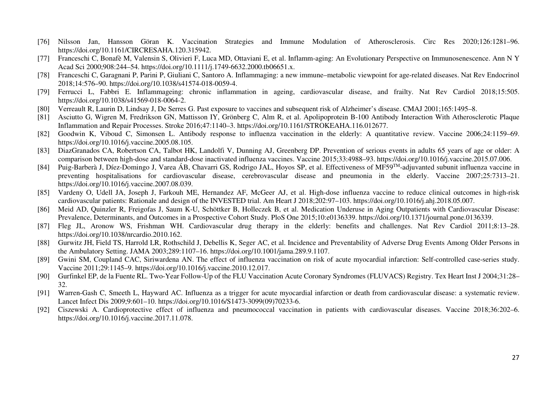- [76] Nilsson Jan, Hansson Göran K. Vaccination Strategies and Immune Modulation of Atherosclerosis. Circ Res 2020;126:1281–96. https://doi.org/10.1161/CIRCRESAHA.120.315942.
- [77] Franceschi C, Bonafè M, Valensin S, Olivieri F, Luca MD, Ottaviani E, et al. Inflamm-aging: An Evolutionary Perspective on Immunosenescence. Ann N YAcad Sci 2000;908:244–54. https://doi.org/10.1111/j.1749-6632.2000.tb06651.x.
- [78] Franceschi C, Garagnani P, Parini P, Giuliani C, Santoro A. Inflammaging: a new immune–metabolic viewpoint for age-related diseases. Nat Rev Endocrinol 2018;14:576–90. https://doi.org/10.1038/s41574-018-0059-4.
- [79] Ferrucci L, Fabbri E. Inflammageing: chronic inflammation in ageing, cardiovascular disease, and frailty. Nat Rev Cardiol 2018;15:505. https://doi.org/10.1038/s41569-018-0064-2.
- [80] Verreault R, Laurin D, Lindsay J, De Serres G. Past exposure to vaccines and subsequent risk of Alzheimer's disease. CMAJ 2001;165:1495–8.
- [81] Asciutto G, Wigren M, Fredrikson GN, Mattisson IY, Grönberg C, Alm R, et al. Apolipoprotein B-100 Antibody Interaction With Atherosclerotic Plaque Inflammation and Repair Processes. Stroke 2016;47:1140–3. https://doi.org/10.1161/STROKEAHA.116.012677.
- [82] Goodwin K, Viboud C, Simonsen L. Antibody response to influenza vaccination in the elderly: A quantitative review. Vaccine 2006;24:1159–69. https://doi.org/10.1016/j.vaccine.2005.08.105.
- [83] DiazGranados CA, Robertson CA, Talbot HK, Landolfi V, Dunning AJ, Greenberg DP. Prevention of serious events in adults 65 years of age or older: A comparison between high-dose and standard-dose inactivated influenza vaccines. Vaccine 2015;33:4988–93. https://doi.org/10.1016/j.vaccine.2015.07.006.
- [84] Puig-Barberà J, Díez-Domingo J, Varea ÁB, Chavarri GS, Rodrigo JAL, Hoyos SP, et al. Effectiveness of MF59TM-adjuvanted subunit influenza vaccine in preventing hospitalisations for cardiovascular disease, cerebrovascular disease and pneumonia in the elderly. Vaccine 2007;25:7313–21. https://doi.org/10.1016/j.vaccine.2007.08.039.
- [85] Vardeny O, Udell JA, Joseph J, Farkouh ME, Hernandez AF, McGeer AJ, et al. High-dose influenza vaccine to reduce clinical outcomes in high-risk cardiovascular patients: Rationale and design of the INVESTED trial. Am Heart J 2018;202:97–103. https://doi.org/10.1016/j.ahj.2018.05.007.
- [86] Meid AD, Quinzler R, Freigofas J, Saum K-U, Schöttker B, Holleczek B, et al. Medication Underuse in Aging Outpatients with Cardiovascular Disease: Prevalence, Determinants, and Outcomes in a Prospective Cohort Study. PloS One 2015;10:e0136339. https://doi.org/10.1371/journal.pone.0136339.
- [87] Fleg JL, Aronow WS, Frishman WH. Cardiovascular drug therapy in the elderly: benefits and challenges. Nat Rev Cardiol 2011;8:13–28. https://doi.org/10.1038/nrcardio.2010.162.
- [88] Gurwitz JH, Field TS, Harrold LR, Rothschild J, Debellis K, Seger AC, et al. Incidence and Preventability of Adverse Drug Events Among Older Persons in the Ambulatory Setting. JAMA 2003;289:1107–16. https://doi.org/10.1001/jama.289.9.1107.
- [89] Gwini SM, Coupland CAC, Siriwardena AN. The effect of influenza vaccination on risk of acute myocardial infarction: Self-controlled case-series study. Vaccine 2011;29:1145–9. https://doi.org/10.1016/j.vaccine.2010.12.017.
- [90] Gurfinkel EP, de la Fuente RL. Two-Year Follow-Up of the FLU Vaccination Acute Coronary Syndromes (FLUVACS) Registry. Tex Heart Inst J 2004;31:28–32.
- [91] Warren-Gash C, Smeeth L, Hayward AC. Influenza as a trigger for acute myocardial infarction or death from cardiovascular disease: a systematic review. Lancet Infect Dis 2009;9:601–10. https://doi.org/10.1016/S1473-3099(09)70233-6.
- [92] Ciszewski A. Cardioprotective effect of influenza and pneumococcal vaccination in patients with cardiovascular diseases. Vaccine 2018;36:202–6. https://doi.org/10.1016/j.vaccine.2017.11.078.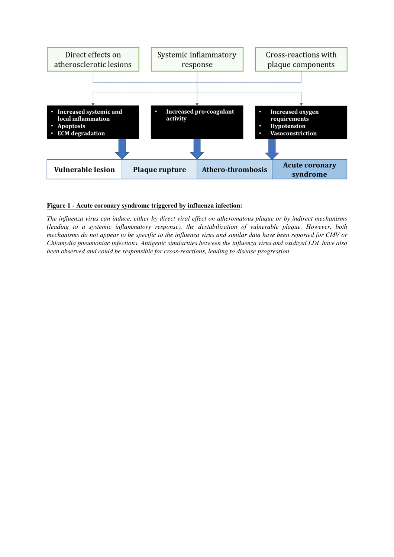

#### **Figure 1 - Acute coronary syndrome triggered by influenza infection:**

*The influenza virus can induce, either by direct viral effect on atheromatous plaque or by indirect mechanisms (leading to a systemic inflammatory response), the destabilization of vulnerable plaque. However, both mechanisms do not appear to be specific to the influenza virus and similar data have been reported for CMV or Chlamydia pneumoniae infections. Antigenic similarities between the influenza virus and oxidized LDL have also been observed and could be responsible for cross-reactions, leading to disease progression.*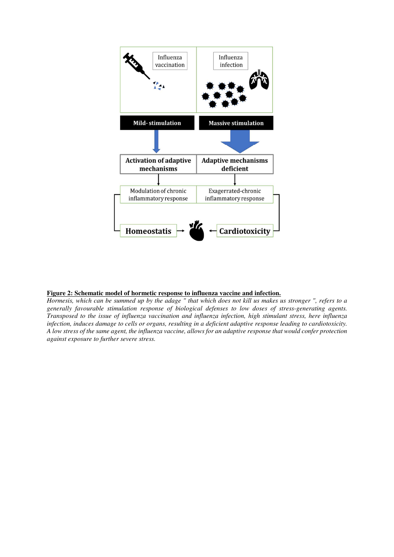

#### **Figure 2: Schematic model of hormetic response to influenza vaccine and infection.**

*Hormesis, which can be summed up by the adage " that which does not kill us makes us stronger ", refers to a generally favourable stimulation response of biological defenses to low doses of stress-generating agents. Transposed to the issue of influenza vaccination and influenza infection, high stimulant stress, here influenza infection, induces damage to cells or organs, resulting in a deficient adaptive response leading to cardiotoxicity. A low stress of the same agent, the influenza vaccine, allows for an adaptive response that would confer protection against exposure to further severe stress.*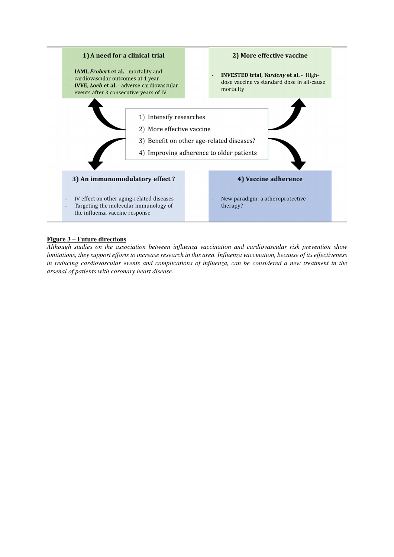

#### **Figure 3 – Future directions**

*Although studies on the association between influenza vaccination and cardiovascular risk prevention show limitations, they support efforts to increase research in this area. Influenza vaccination, because of its effectiveness in reducing cardiovascular events and complications of influenza, can be considered a new treatment in the arsenal of patients with coronary heart disease.*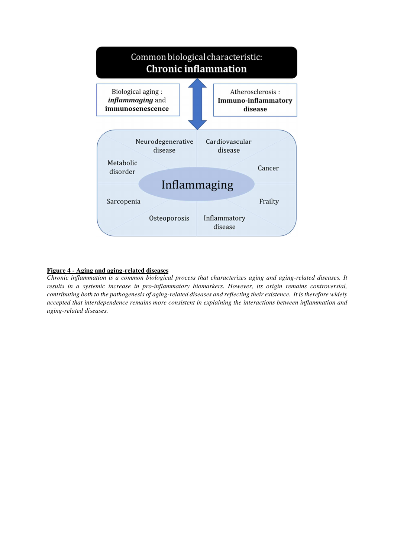

#### **Figure 4 - Aging and aging-related diseases**

*Chronic inflammation is a common biological process that characterizes aging and aging-related diseases. It results in a systemic increase in pro-inflammatory biomarkers. However, its origin remains controversial, contributing both to the pathogenesis of aging-related diseases and reflecting their existence. It is therefore widely accepted that interdependence remains more consistent in explaining the interactions between inflammation and aging-related diseases.*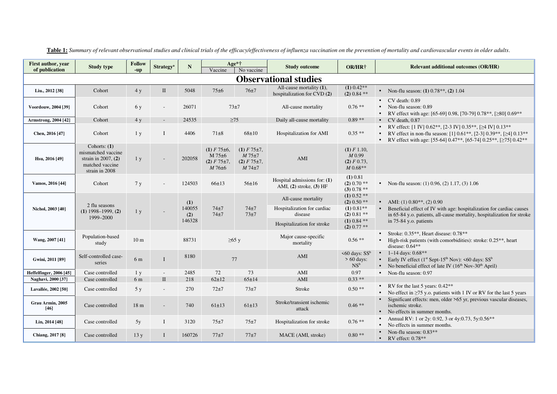| First author, year<br>of publication | <b>Study type</b>                                                                                   | <b>Follow</b><br>-up | <b>Strategy</b> <sup>a</sup> | $\mathbb{N}$                   | Vaccine                                                                    | Age*†<br>No vaccine                                                       | <b>Study outcome</b>                                                                        | OR/HR†                                                                                                   | <b>Relevant additional outcomes (OR/HR)</b>                                                                                                                                                                                                                                    |
|--------------------------------------|-----------------------------------------------------------------------------------------------------|----------------------|------------------------------|--------------------------------|----------------------------------------------------------------------------|---------------------------------------------------------------------------|---------------------------------------------------------------------------------------------|----------------------------------------------------------------------------------------------------------|--------------------------------------------------------------------------------------------------------------------------------------------------------------------------------------------------------------------------------------------------------------------------------|
| <b>Observational studies</b>         |                                                                                                     |                      |                              |                                |                                                                            |                                                                           |                                                                                             |                                                                                                          |                                                                                                                                                                                                                                                                                |
| Liu., 2012 [38]                      | Cohort                                                                                              | 4y                   | $\mathbf{I}$                 | 5048                           | $75\pm6$                                                                   | 76±7                                                                      | All-cause mortality (1),<br>hospitalization for CVD (2)                                     | $\overline{(1) 0.42**}$<br>$(2) 0.84$ **                                                                 | • Non-flu season: $(1)$ 0.78 <sup>**</sup> , $(2)$ 1.04                                                                                                                                                                                                                        |
| Voordouw, 2004 [39]                  | Cohort                                                                                              | 6 y                  | $\overline{\phantom{a}}$     | 26071                          | $73\pm7$                                                                   |                                                                           | All-cause mortality                                                                         | $0.76**$                                                                                                 | $CV$ death: $0.89$<br>Non-flu season: 0.89<br>RV effect with age: [65-69] 0.98, [70-79] 0.78 <sup>**</sup> , [≥80] 0.69 <sup>**</sup>                                                                                                                                          |
| <b>Armstrong, 2004 [42]</b>          | Cohort                                                                                              | 4y                   | $\sim$                       | 24535                          | $\geq$ 75                                                                  |                                                                           | Daily all-cause mortality                                                                   | $0.89**$                                                                                                 | $\bullet$ CV death, 0.87                                                                                                                                                                                                                                                       |
| Chen, 2016 [47]                      | Cohort                                                                                              | 1 <sub>y</sub>       | Ι                            | 4406                           | $71\pm8$                                                                   | $68 \pm 10$                                                               | Hospitalization for AMI                                                                     | $0.35**$                                                                                                 | RV effect: [1 IV] $0.62**$ , [2-3 IV] $0.35**$ , [ $\geq$ 4 IV] $0.13**$<br>RV effect in non-flu season: [1] 0.61 <sup>**</sup> , [2-3] 0.39 <sup>**</sup> , [≥4] 0.13 <sup>**</sup><br>$\bullet$<br>• RV effect with age: [55-64] 0.47**, [65-74] 0.25**, [ $\geq$ 75] 0.42** |
| Hsu, 2016 [49]                       | Cohorts: (1)<br>mismatched vaccine<br>strain in $2007$ , $(2)$<br>matched vaccine<br>strain in 2008 | 1 <sub>y</sub>       |                              | 202058                         | $(1)$ F 75 $\pm$ 6,<br>$M$ 75 $\pm$ 6<br>$(2)$ F 75 $\pm$ 7,<br>$M76\pm 6$ | $(1)$ F 75 $\pm$ 7,<br>$M$ 75 $\pm$ 7<br>$(2)$ F 75 $\pm$ 7,<br>$M74\pm7$ | AMI                                                                                         | $(1)$ F 1.10,<br>$M$ 0.99<br>(2) F 0.73,<br>$M 0.68**$                                                   |                                                                                                                                                                                                                                                                                |
| Vamos, 2016 [44]                     | Cohort                                                                                              | 7y                   |                              | 124503                         | 66±13                                                                      | $56 \pm 16$                                                               | Hospital admissions for: (1)<br>AMI, $(2)$ stroke, $(3)$ HF                                 | (1) 0.81<br>$(2) 0.70$ **<br>$(3) 0.78$ **                                                               | • Non-flu season: $(1)$ 0.96, $(2)$ 1.17, $(3)$ 1.06                                                                                                                                                                                                                           |
| Nichol, 2003 [40]                    | 2 flu seasons<br>$(1)$ 1998–1999, $(2)$<br>1999-2000                                                | 1 <sub>y</sub>       |                              | (1)<br>140055<br>(2)<br>146328 | $74\pm7$<br>$74\pm7$                                                       | $74\pm7$<br>$73\pm7$                                                      | All-cause mortality<br>Hospitalization for cardiac<br>disease<br>Hospitalization for stroke | $(1)$ 0.52 $**$<br>$(2)$ 0.50 $**$<br>$(1) 0.81$ **<br>$(2) 0.81$ **<br>$(1)$ 0.84 $**$<br>$(2) 0.77$ ** | • AMI: (1) $0.80^{**}$ , (2) $0.90$<br>Beneficial effect of IV with age: hospitalization for cardiac causes<br>in 65-84 y.o. patients, all-cause mortality, hospitalization for stroke<br>in 75-84 y.o. patients                                                               |
| Wang, 2007 [41]                      | Population-based<br>study                                                                           | 10 <sub>m</sub>      |                              | 88731                          | $\geq 65$ y                                                                |                                                                           | Major cause-specific<br>mortality                                                           | $0.56**$                                                                                                 | Stroke: $0.35***$ . Heart disease: $0.78***$<br>High-risk patients (with comorbidities): stroke: 0.25 <sup>**</sup> , heart<br>$\bullet$<br>disease: $0.64**$                                                                                                                  |
| Gwini, 2011 [89]                     | Self-controlled case-<br>series                                                                     | 6 m                  | I                            | 8180                           | 77                                                                         |                                                                           | AMI                                                                                         | $\leq 60$ days: SS <sup>b</sup><br>$> 60$ days:<br>NS <sup>b</sup>                                       | • $1-14$ days: $0.68**$<br>Early IV effect (1 <sup>st</sup> Sept-15 <sup>th</sup> Nov): <60 days: SS <sup>b</sup><br>$\bullet$<br>• No beneficial effect of late IV $(16th Nov-30th April)$                                                                                    |
| Heffelfinger, 2006 [45]              | Case controlled                                                                                     | 1 y                  | $\overline{\phantom{a}}$     | 2485                           | 72                                                                         | 73                                                                        | AMI                                                                                         | 0.97                                                                                                     | • Non-flu season: 0.97                                                                                                                                                                                                                                                         |
| Naghavi, 2000 [37]                   | Case controlled                                                                                     | 6 m                  | $\mathbf{I}$                 | 218                            | $62 + 12$                                                                  | 65±14                                                                     | AMI                                                                                         | $0.33**$                                                                                                 |                                                                                                                                                                                                                                                                                |
| Lavallée, 2002 [50]                  | Case controlled                                                                                     | 5 y                  | $\overline{\phantom{a}}$     | 270                            | $72+7$                                                                     | $73\pm7$                                                                  | Stroke                                                                                      | $0.50**$                                                                                                 | • RV for the last 5 years: $0.42**$<br>No effect in $\geq$ 75 y.o. patients with 1 IV or RV for the last 5 years                                                                                                                                                               |
| Grau Armin. 2005<br>$[46]$           | Case controlled                                                                                     | 18 <sub>m</sub>      | $\overline{\phantom{a}}$     | 740                            | $61 \pm 13$                                                                | $61\pm13$                                                                 | Stroke/transient ischemic<br>attack                                                         | $0.46**$                                                                                                 | • Significant effects: men, older $>65$ yr, previous vascular diseases,<br>ischemic stroke.<br>• No effects in summer months.                                                                                                                                                  |
| Lin, 2014 [48]                       | Case controlled                                                                                     | 5y                   | 1                            | 3120                           | 75±7                                                                       | 75±7                                                                      | Hospitalization for stroke                                                                  | $0.76**$                                                                                                 | Annual RV: 1 or 2y: 0.92, 3 or 4y:0.73, 5y:0.56**<br>No effects in summer months.                                                                                                                                                                                              |
| Chiang, 2017 [8]                     | Case controlled                                                                                     | 13y                  | I                            | 160726                         | 77±7                                                                       | 77±7                                                                      | MACE (AMI, stroke)                                                                          | $0.80**$                                                                                                 | Non-flu season: $0.83**$<br>• RV effect: $0.78**$                                                                                                                                                                                                                              |

**Table 1:** *Summary of relevant observational studies and clinical trials of the efficacy/effectiveness of influenza vaccination on the prevention of mortality and cardiovascular events in older adults*.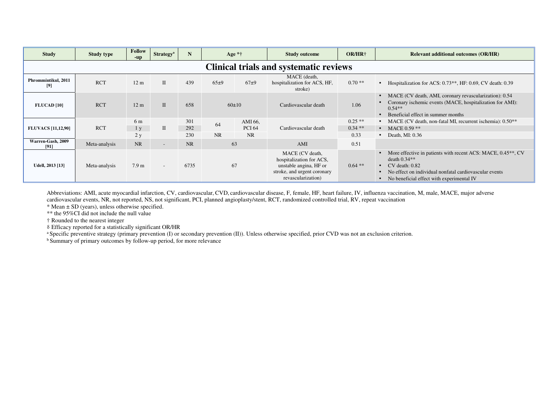| <b>Study</b>                                  | <b>Study type</b> | <b>Follow</b><br>-up        | <b>Strategy</b> <sup>a</sup> | N                 | Age $*†$ |                                       | <b>Study outcome</b>                                                                                                       | <b>OR/HR†</b>                | <b>Relevant additional outcomes (OR/HR)</b>                                                                                                                                                                                      |  |
|-----------------------------------------------|-------------------|-----------------------------|------------------------------|-------------------|----------|---------------------------------------|----------------------------------------------------------------------------------------------------------------------------|------------------------------|----------------------------------------------------------------------------------------------------------------------------------------------------------------------------------------------------------------------------------|--|
| <b>Clinical trials and systematic reviews</b> |                   |                             |                              |                   |          |                                       |                                                                                                                            |                              |                                                                                                                                                                                                                                  |  |
| Phrommintikul, 2011<br>[9]                    | <b>RCT</b>        | 12 <sub>m</sub>             | $\mathbf{I}$                 | 439               | 65±9     | $67\pm9$                              | MACE (death,<br>hospitalization for ACS, HF,<br>stroke)                                                                    | $0.70**$                     | • Hospitalization for ACS: $0.73**$ , HF: 0.69, CV death: 0.39                                                                                                                                                                   |  |
| <b>FLUCAD [10]</b>                            | <b>RCT</b>        | 12 <sub>m</sub>             | $\mathbf{I}$                 | 658               | 60±10    |                                       | Cardiovascular death                                                                                                       | 1.06                         | MACE (CV death, AMI, coronary revascularization): 0.54<br>Coronary ischemic events (MACE, hospitalization for AMI):<br>$0.54**$<br>Beneficial effect in summer months                                                            |  |
| <b>FLUVACS</b> [11,12,90]                     | <b>RCT</b>        | 6 m<br>1 <sub>v</sub><br>2y | $\mathbf{I}$                 | 301<br>292<br>230 | 64<br>NR | AMI 66,<br><b>PCI 64</b><br><b>NR</b> | Cardiovascular death                                                                                                       | $0.25**$<br>$0.34**$<br>0.33 | • MACE (CV death, non-fatal MI, recurrent ischemia): $0.50**$<br>• MACE $0.59$ **<br>$\bullet$ Death, MI: 0.36                                                                                                                   |  |
| Warren-Gash, 2009<br>[91]                     | Meta-analysis     | <b>NR</b>                   | $\overline{\phantom{a}}$     | NR                | 63       |                                       | AMI                                                                                                                        | 0.51                         |                                                                                                                                                                                                                                  |  |
| <b>Udell, 2013</b> [13]                       | Meta-analysis     | 7.9 <sub>m</sub>            | $\sim$                       | 6735              | 67       |                                       | MACE (CV death,<br>hospitalization for ACS,<br>unstable angina, HF or<br>stroke, and urgent coronary<br>revascularization) | $0.64$ **                    | More effective in patients with recent ACS: MACE, 0.45 <sup>**</sup> , CV<br>death $0.34**$<br>$\bullet$ CV death: 0.82<br>No effect on individual nonfatal cardiovascular events<br>• No beneficial effect with experimental IV |  |

Abbreviations: AMI, acute myocardial infarction, CV, cardiovascular, CVD, cardiovascular disease, F, female, HF, heart failure, IV, influenza vaccination, M, male, MACE, major adverse cardiovascular events, NR, not reported, NS, not significant, PCI, planned angioplasty/stent, RCT, randomized controlled trial, RV, repeat vaccination

 $*$  Mean  $\pm$  SD (years), unless otherwise specified.

\*\* the 95%CI did not include the null value

† Rounded to the nearest integer

⸹ Efficacy reported for a statistically significant OR/HR

a Specific preventive strategy (primary prevention (I) or secondary prevention (II)). Unless otherwise specified, prior CVD was not an exclusion criterion.

<sup>b</sup> Summary of primary outcomes by follow-up period, for more relevance